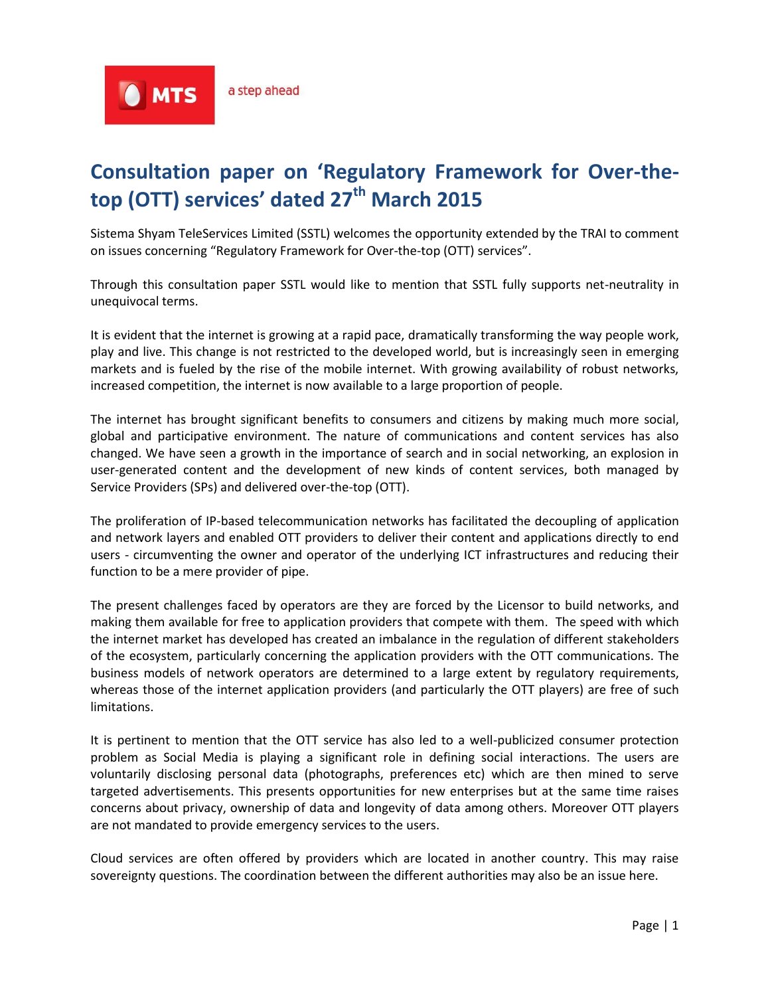**A** MTS

# **Consultation paper on 'Regulatory Framework for Over-thetop (OTT) services' dated 27th March 2015**

Sistema Shyam TeleServices Limited (SSTL) welcomes the opportunity extended by the TRAI to comment on issues concerning "Regulatory Framework for Over-the-top (OTT) services".

Through this consultation paper SSTL would like to mention that SSTL fully supports net-neutrality in unequivocal terms.

It is evident that the internet is growing at a rapid pace, dramatically transforming the way people work, play and live. This change is not restricted to the developed world, but is increasingly seen in emerging markets and is fueled by the rise of the mobile internet. With growing availability of robust networks, increased competition, the internet is now available to a large proportion of people.

The internet has brought significant benefits to consumers and citizens by making much more social, global and participative environment. The nature of communications and content services has also changed. We have seen a growth in the importance of search and in social networking, an explosion in user-generated content and the development of new kinds of content services, both managed by Service Providers (SPs) and delivered over-the-top (OTT).

The proliferation of IP-based telecommunication networks has facilitated the decoupling of application and network layers and enabled OTT providers to deliver their content and applications directly to end users - circumventing the owner and operator of the underlying ICT infrastructures and reducing their function to be a mere provider of pipe.

The present challenges faced by operators are they are forced by the Licensor to build networks, and making them available for free to application providers that compete with them. The speed with which the internet market has developed has created an imbalance in the regulation of different stakeholders of the ecosystem, particularly concerning the application providers with the OTT communications. The business models of network operators are determined to a large extent by regulatory requirements, whereas those of the internet application providers (and particularly the OTT players) are free of such limitations.

It is pertinent to mention that the OTT service has also led to a well-publicized consumer protection problem as Social Media is playing a significant role in defining social interactions. The users are voluntarily disclosing personal data (photographs, preferences etc) which are then mined to serve targeted advertisements. This presents opportunities for new enterprises but at the same time raises concerns about privacy, ownership of data and longevity of data among others. Moreover OTT players are not mandated to provide emergency services to the users.

Cloud services are often offered by providers which are located in another country. This may raise sovereignty questions. The coordination between the different authorities may also be an issue here.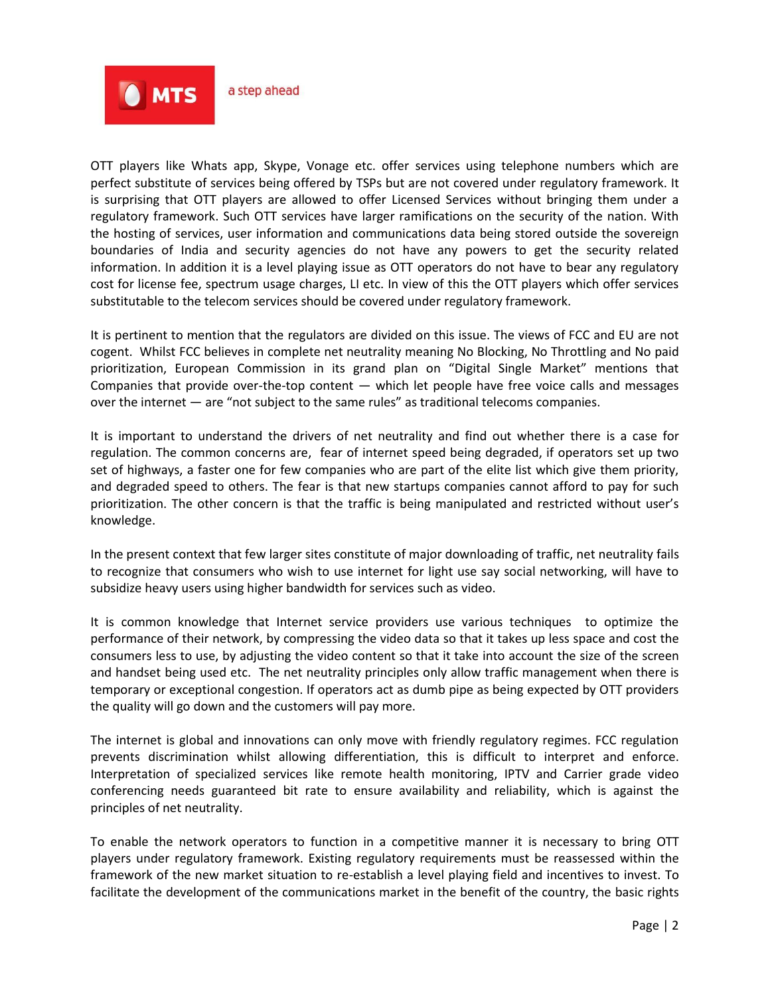

OTT players like Whats app, Skype, Vonage etc. offer services using telephone numbers which are perfect substitute of services being offered by TSPs but are not covered under regulatory framework. It is surprising that OTT players are allowed to offer Licensed Services without bringing them under a regulatory framework. Such OTT services have larger ramifications on the security of the nation. With the hosting of services, user information and communications data being stored outside the sovereign boundaries of India and security agencies do not have any powers to get the security related information. In addition it is a level playing issue as OTT operators do not have to bear any regulatory cost for license fee, spectrum usage charges, LI etc. In view of this the OTT players which offer services substitutable to the telecom services should be covered under regulatory framework.

It is pertinent to mention that the regulators are divided on this issue. The views of FCC and EU are not cogent. Whilst FCC believes in complete net neutrality meaning No Blocking, No Throttling and No paid prioritization, European Commission in its grand plan on "Digital Single Market" mentions that Companies that provide over-the-top content — which let people have free voice calls and messages over the internet — are "not subject to the same rules" as traditional telecoms companies.

It is important to understand the drivers of net neutrality and find out whether there is a case for regulation. The common concerns are, fear of internet speed being degraded, if operators set up two set of highways, a faster one for few companies who are part of the elite list which give them priority, and degraded speed to others. The fear is that new startups companies cannot afford to pay for such prioritization. The other concern is that the traffic is being manipulated and restricted without user's knowledge.

In the present context that few larger sites constitute of major downloading of traffic, net neutrality fails to recognize that consumers who wish to use internet for light use say social networking, will have to subsidize heavy users using higher bandwidth for services such as video.

It is common knowledge that Internet service providers use various techniques to optimize the performance of their network, by compressing the video data so that it takes up less space and cost the consumers less to use, by adjusting the video content so that it take into account the size of the screen and handset being used etc. The net neutrality principles only allow traffic management when there is temporary or exceptional congestion. If operators act as dumb pipe as being expected by OTT providers the quality will go down and the customers will pay more.

The internet is global and innovations can only move with friendly regulatory regimes. FCC regulation prevents discrimination whilst allowing differentiation, this is difficult to interpret and enforce. Interpretation of specialized services like remote health monitoring, IPTV and Carrier grade video conferencing needs guaranteed bit rate to ensure availability and reliability, which is against the principles of net neutrality.

To enable the network operators to function in a competitive manner it is necessary to bring OTT players under regulatory framework. Existing regulatory requirements must be reassessed within the framework of the new market situation to re-establish a level playing field and incentives to invest. To facilitate the development of the communications market in the benefit of the country, the basic rights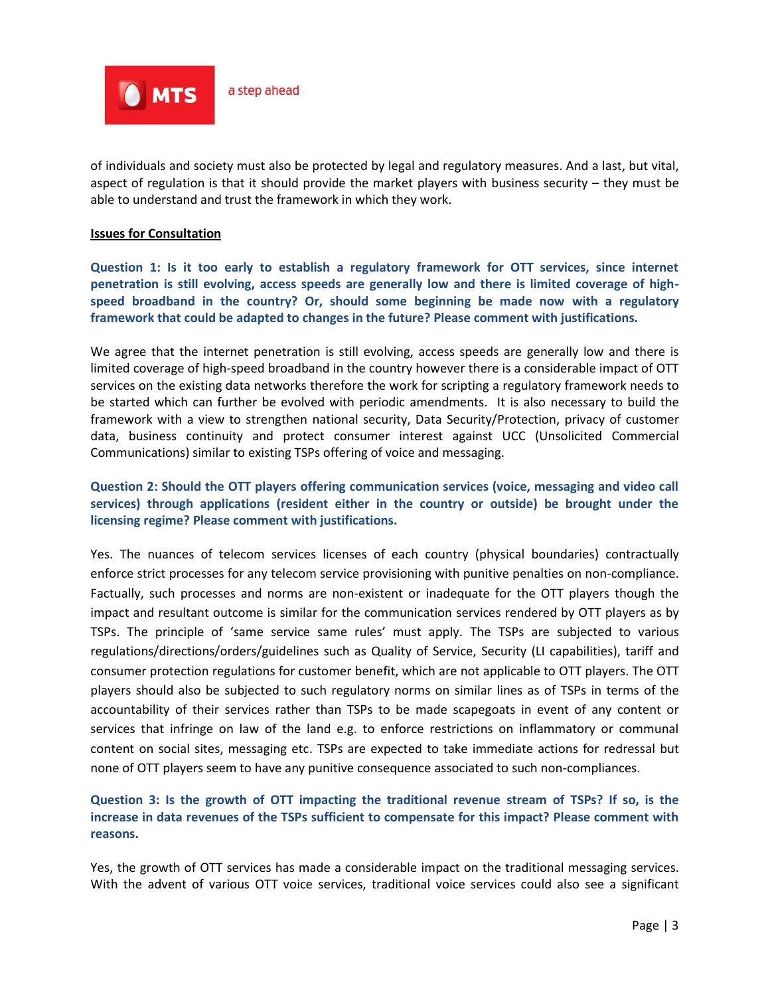

of individuals and society must also be protected by legal and regulatory measures. And a last, but vital, aspect of regulation is that it should provide the market players with business security – they must be able to understand and trust the framework in which they work.

#### **Issues for Consultation**

**Question 1: Is it too early to establish a regulatory framework for OTT services, since internet penetration is still evolving, access speeds are generally low and there is limited coverage of highspeed broadband in the country? Or, should some beginning be made now with a regulatory framework that could be adapted to changes in the future? Please comment with justifications.**

We agree that the internet penetration is still evolving, access speeds are generally low and there is limited coverage of high-speed broadband in the country however there is a considerable impact of OTT services on the existing data networks therefore the work for scripting a regulatory framework needs to be started which can further be evolved with periodic amendments. It is also necessary to build the framework with a view to strengthen national security, Data Security/Protection, privacy of customer data, business continuity and protect consumer interest against UCC (Unsolicited Commercial Communications) similar to existing TSPs offering of voice and messaging.

# **Question 2: Should the OTT players offering communication services (voice, messaging and video call services) through applications (resident either in the country or outside) be brought under the licensing regime? Please comment with justifications.**

Yes. The nuances of telecom services licenses of each country (physical boundaries) contractually enforce strict processes for any telecom service provisioning with punitive penalties on non-compliance. Factually, such processes and norms are non-existent or inadequate for the OTT players though the impact and resultant outcome is similar for the communication services rendered by OTT players as by TSPs. The principle of 'same service same rules' must apply. The TSPs are subjected to various regulations/directions/orders/guidelines such as Quality of Service, Security (LI capabilities), tariff and consumer protection regulations for customer benefit, which are not applicable to OTT players. The OTT players should also be subjected to such regulatory norms on similar lines as of TSPs in terms of the accountability of their services rather than TSPs to be made scapegoats in event of any content or services that infringe on law of the land e.g. to enforce restrictions on inflammatory or communal content on social sites, messaging etc. TSPs are expected to take immediate actions for redressal but none of OTT players seem to have any punitive consequence associated to such non-compliances.

# **Question 3: Is the growth of OTT impacting the traditional revenue stream of TSPs? If so, is the increase in data revenues of the TSPs sufficient to compensate for this impact? Please comment with reasons.**

Yes, the growth of OTT services has made a considerable impact on the traditional messaging services. With the advent of various OTT voice services, traditional voice services could also see a significant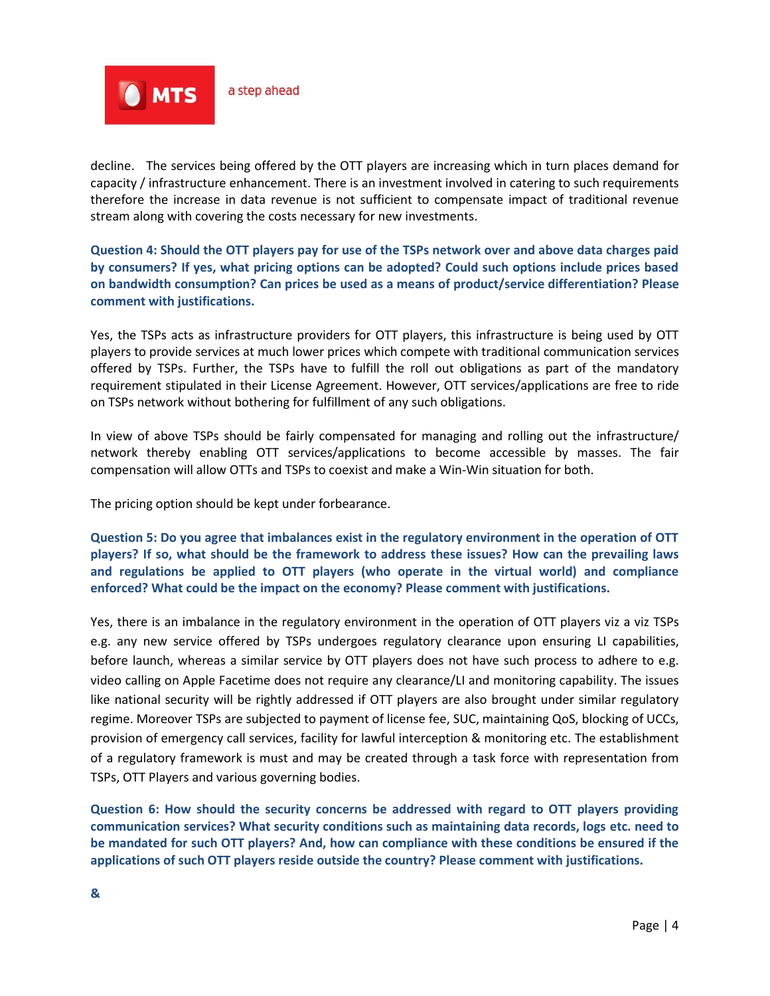

decline. The services being offered by the OTT players are increasing which in turn places demand for capacity / infrastructure enhancement. There is an investment involved in catering to such requirements therefore the increase in data revenue is not sufficient to compensate impact of traditional revenue stream along with covering the costs necessary for new investments.

**Question 4: Should the OTT players pay for use of the TSPs network over and above data charges paid by consumers? If yes, what pricing options can be adopted? Could such options include prices based on bandwidth consumption? Can prices be used as a means of product/service differentiation? Please comment with justifications.**

Yes, the TSPs acts as infrastructure providers for OTT players, this infrastructure is being used by OTT players to provide services at much lower prices which compete with traditional communication services offered by TSPs. Further, the TSPs have to fulfill the roll out obligations as part of the mandatory requirement stipulated in their License Agreement. However, OTT services/applications are free to ride on TSPs network without bothering for fulfillment of any such obligations.

In view of above TSPs should be fairly compensated for managing and rolling out the infrastructure/ network thereby enabling OTT services/applications to become accessible by masses. The fair compensation will allow OTTs and TSPs to coexist and make a Win-Win situation for both.

The pricing option should be kept under forbearance.

**Question 5: Do you agree that imbalances exist in the regulatory environment in the operation of OTT players? If so, what should be the framework to address these issues? How can the prevailing laws and regulations be applied to OTT players (who operate in the virtual world) and compliance enforced? What could be the impact on the economy? Please comment with justifications.**

Yes, there is an imbalance in the regulatory environment in the operation of OTT players viz a viz TSPs e.g. any new service offered by TSPs undergoes regulatory clearance upon ensuring LI capabilities, before launch, whereas a similar service by OTT players does not have such process to adhere to e.g. video calling on Apple Facetime does not require any clearance/LI and monitoring capability. The issues like national security will be rightly addressed if OTT players are also brought under similar regulatory regime. Moreover TSPs are subjected to payment of license fee, SUC, maintaining QoS, blocking of UCCs, provision of emergency call services, facility for lawful interception & monitoring etc. The establishment of a regulatory framework is must and may be created through a task force with representation from TSPs, OTT Players and various governing bodies.

**Question 6: How should the security concerns be addressed with regard to OTT players providing communication services? What security conditions such as maintaining data records, logs etc. need to be mandated for such OTT players? And, how can compliance with these conditions be ensured if the applications of such OTT players reside outside the country? Please comment with justifications.**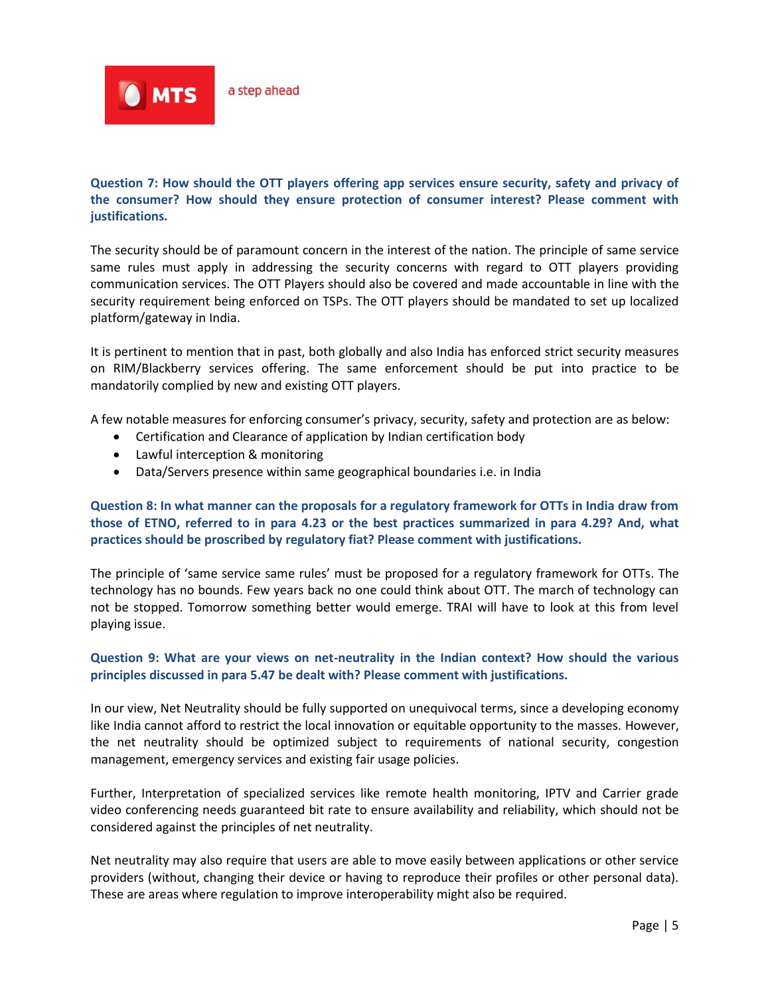

# **Question 7: How should the OTT players offering app services ensure security, safety and privacy of the consumer? How should they ensure protection of consumer interest? Please comment with justifications.**

The security should be of paramount concern in the interest of the nation. The principle of same service same rules must apply in addressing the security concerns with regard to OTT players providing communication services. The OTT Players should also be covered and made accountable in line with the security requirement being enforced on TSPs. The OTT players should be mandated to set up localized platform/gateway in India.

It is pertinent to mention that in past, both globally and also India has enforced strict security measures on RIM/Blackberry services offering. The same enforcement should be put into practice to be mandatorily complied by new and existing OTT players.

A few notable measures for enforcing consumer's privacy, security, safety and protection are as below:

- Certification and Clearance of application by Indian certification body
- Lawful interception & monitoring
- Data/Servers presence within same geographical boundaries i.e. in India

# **Question 8: In what manner can the proposals for a regulatory framework for OTTs in India draw from those of ETNO, referred to in para 4.23 or the best practices summarized in para 4.29? And, what practices should be proscribed by regulatory fiat? Please comment with justifications.**

The principle of 'same service same rules' must be proposed for a regulatory framework for OTTs. The technology has no bounds. Few years back no one could think about OTT. The march of technology can not be stopped. Tomorrow something better would emerge. TRAI will have to look at this from level playing issue.

# **Question 9: What are your views on net-neutrality in the Indian context? How should the various principles discussed in para 5.47 be dealt with? Please comment with justifications.**

In our view, Net Neutrality should be fully supported on unequivocal terms, since a developing economy like India cannot afford to restrict the local innovation or equitable opportunity to the masses. However, the net neutrality should be optimized subject to requirements of national security, congestion management, emergency services and existing fair usage policies.

Further, Interpretation of specialized services like remote health monitoring, IPTV and Carrier grade video conferencing needs guaranteed bit rate to ensure availability and reliability, which should not be considered against the principles of net neutrality.

Net neutrality may also require that users are able to move easily between applications or other service providers (without, changing their device or having to reproduce their profiles or other personal data). These are areas where regulation to improve interoperability might also be required.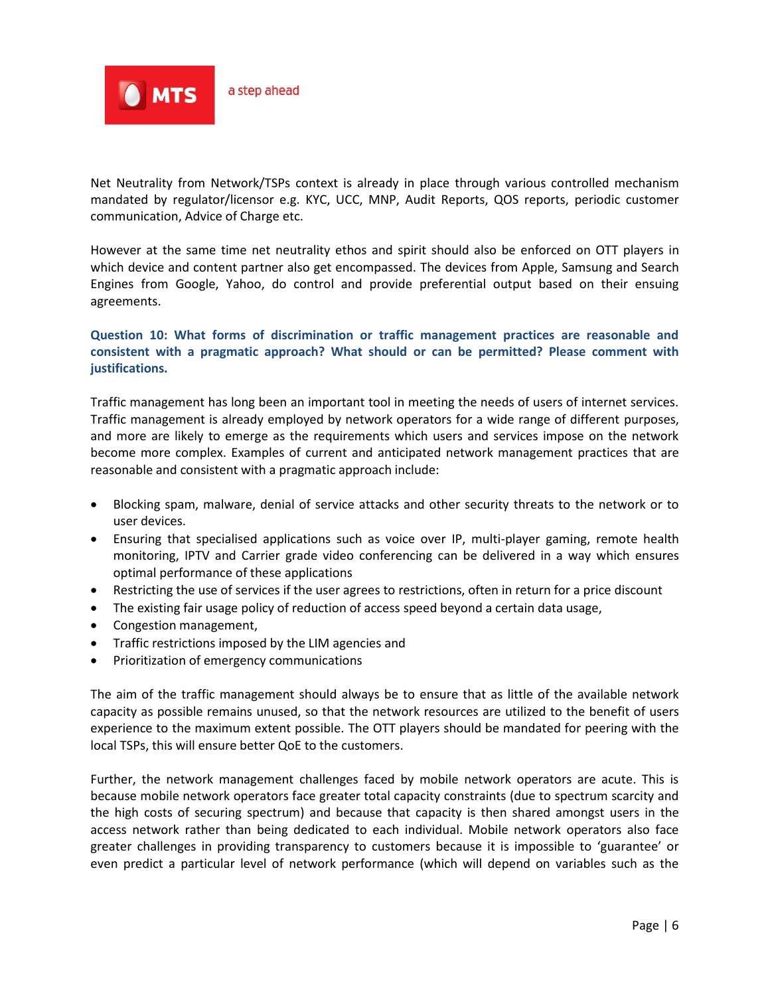

Net Neutrality from Network/TSPs context is already in place through various controlled mechanism mandated by regulator/licensor e.g. KYC, UCC, MNP, Audit Reports, QOS reports, periodic customer communication, Advice of Charge etc.

However at the same time net neutrality ethos and spirit should also be enforced on OTT players in which device and content partner also get encompassed. The devices from Apple, Samsung and Search Engines from Google, Yahoo, do control and provide preferential output based on their ensuing agreements.

# **Question 10: What forms of discrimination or traffic management practices are reasonable and consistent with a pragmatic approach? What should or can be permitted? Please comment with justifications.**

Traffic management has long been an important tool in meeting the needs of users of internet services. Traffic management is already employed by network operators for a wide range of different purposes, and more are likely to emerge as the requirements which users and services impose on the network become more complex. Examples of current and anticipated network management practices that are reasonable and consistent with a pragmatic approach include:

- Blocking spam, malware, denial of service attacks and other security threats to the network or to user devices.
- Ensuring that specialised applications such as voice over IP, multi-player gaming, remote health monitoring, IPTV and Carrier grade video conferencing can be delivered in a way which ensures optimal performance of these applications
- Restricting the use of services if the user agrees to restrictions, often in return for a price discount
- The existing fair usage policy of reduction of access speed beyond a certain data usage,
- Congestion management,
- Traffic restrictions imposed by the LIM agencies and
- Prioritization of emergency communications

The aim of the traffic management should always be to ensure that as little of the available network capacity as possible remains unused, so that the network resources are utilized to the benefit of users experience to the maximum extent possible. The OTT players should be mandated for peering with the local TSPs, this will ensure better QoE to the customers.

Further, the network management challenges faced by mobile network operators are acute. This is because mobile network operators face greater total capacity constraints (due to spectrum scarcity and the high costs of securing spectrum) and because that capacity is then shared amongst users in the access network rather than being dedicated to each individual. Mobile network operators also face greater challenges in providing transparency to customers because it is impossible to 'guarantee' or even predict a particular level of network performance (which will depend on variables such as the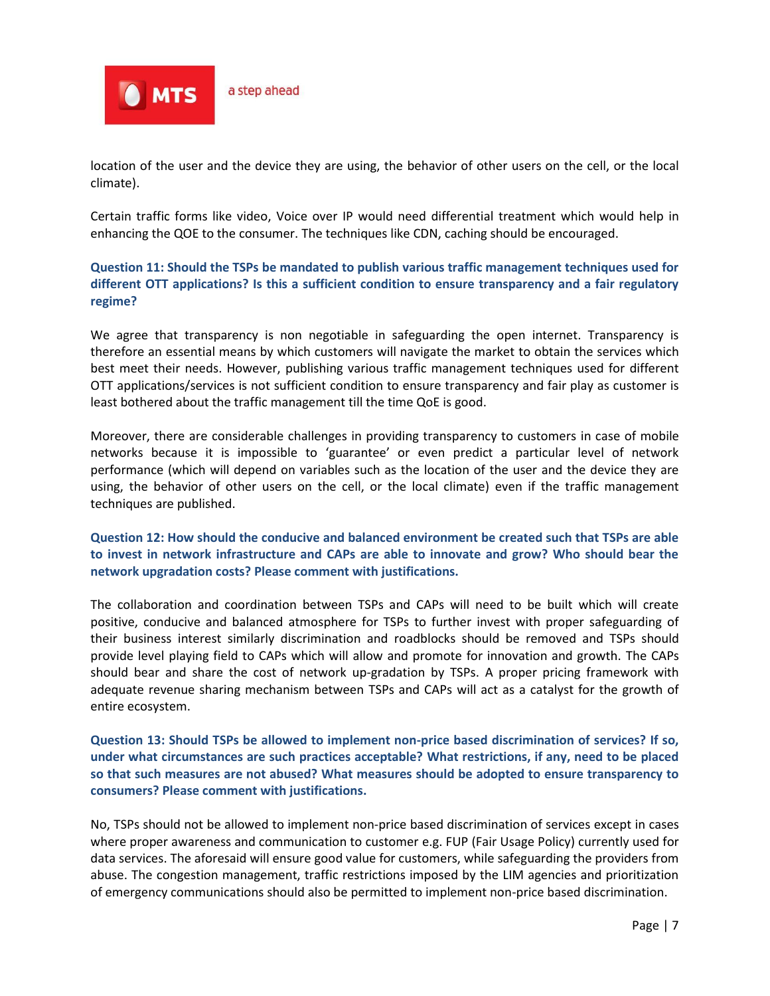

location of the user and the device they are using, the behavior of other users on the cell, or the local climate).

Certain traffic forms like video, Voice over IP would need differential treatment which would help in enhancing the QOE to the consumer. The techniques like CDN, caching should be encouraged.

# **Question 11: Should the TSPs be mandated to publish various traffic management techniques used for different OTT applications? Is this a sufficient condition to ensure transparency and a fair regulatory regime?**

We agree that transparency is non negotiable in safeguarding the open internet. Transparency is therefore an essential means by which customers will navigate the market to obtain the services which best meet their needs. However, publishing various traffic management techniques used for different OTT applications/services is not sufficient condition to ensure transparency and fair play as customer is least bothered about the traffic management till the time QoE is good.

Moreover, there are considerable challenges in providing transparency to customers in case of mobile networks because it is impossible to 'guarantee' or even predict a particular level of network performance (which will depend on variables such as the location of the user and the device they are using, the behavior of other users on the cell, or the local climate) even if the traffic management techniques are published.

#### **Question 12: How should the conducive and balanced environment be created such that TSPs are able to invest in network infrastructure and CAPs are able to innovate and grow? Who should bear the network upgradation costs? Please comment with justifications.**

The collaboration and coordination between TSPs and CAPs will need to be built which will create positive, conducive and balanced atmosphere for TSPs to further invest with proper safeguarding of their business interest similarly discrimination and roadblocks should be removed and TSPs should provide level playing field to CAPs which will allow and promote for innovation and growth. The CAPs should bear and share the cost of network up-gradation by TSPs. A proper pricing framework with adequate revenue sharing mechanism between TSPs and CAPs will act as a catalyst for the growth of entire ecosystem.

**Question 13: Should TSPs be allowed to implement non-price based discrimination of services? If so, under what circumstances are such practices acceptable? What restrictions, if any, need to be placed so that such measures are not abused? What measures should be adopted to ensure transparency to consumers? Please comment with justifications.**

No, TSPs should not be allowed to implement non-price based discrimination of services except in cases where proper awareness and communication to customer e.g. FUP (Fair Usage Policy) currently used for data services. The aforesaid will ensure good value for customers, while safeguarding the providers from abuse. The congestion management, traffic restrictions imposed by the LIM agencies and prioritization of emergency communications should also be permitted to implement non-price based discrimination.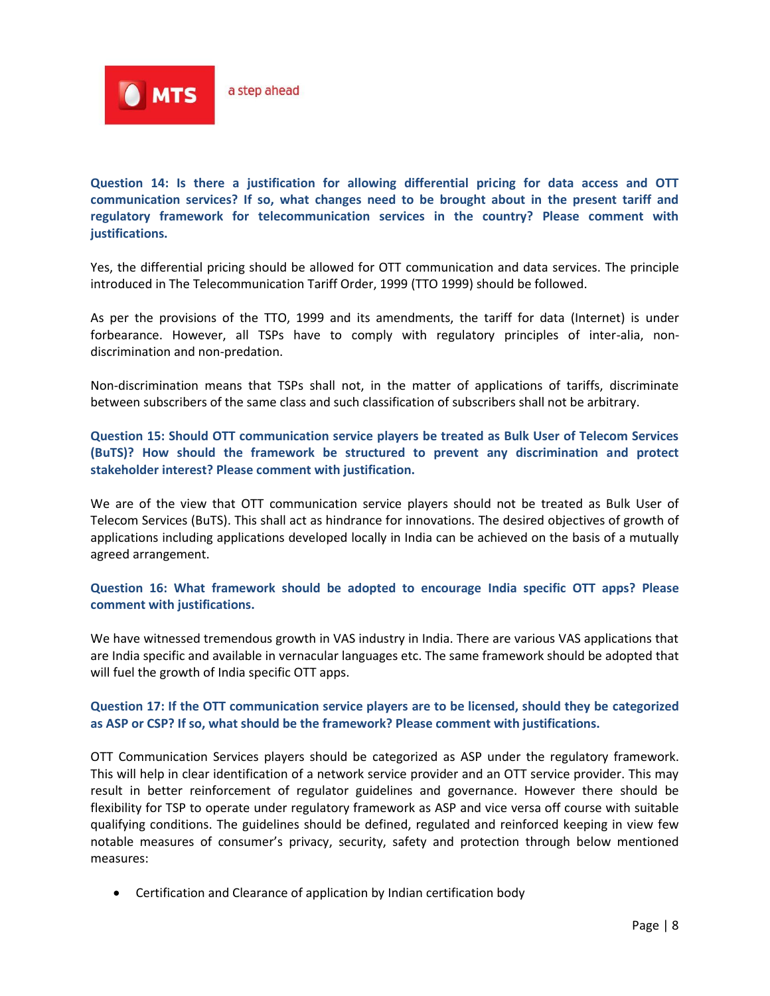

**Question 14: Is there a justification for allowing differential pricing for data access and OTT communication services? If so, what changes need to be brought about in the present tariff and regulatory framework for telecommunication services in the country? Please comment with justifications.**

Yes, the differential pricing should be allowed for OTT communication and data services. The principle introduced in The Telecommunication Tariff Order, 1999 (TTO 1999) should be followed.

As per the provisions of the TTO, 1999 and its amendments, the tariff for data (Internet) is under forbearance. However, all TSPs have to comply with regulatory principles of inter-alia, nondiscrimination and non-predation.

Non-discrimination means that TSPs shall not, in the matter of applications of tariffs, discriminate between subscribers of the same class and such classification of subscribers shall not be arbitrary.

**Question 15: Should OTT communication service players be treated as Bulk User of Telecom Services (BuTS)? How should the framework be structured to prevent any discrimination and protect stakeholder interest? Please comment with justification.**

We are of the view that OTT communication service players should not be treated as Bulk User of Telecom Services (BuTS). This shall act as hindrance for innovations. The desired objectives of growth of applications including applications developed locally in India can be achieved on the basis of a mutually agreed arrangement.

**Question 16: What framework should be adopted to encourage India specific OTT apps? Please comment with justifications.**

We have witnessed tremendous growth in VAS industry in India. There are various VAS applications that are India specific and available in vernacular languages etc. The same framework should be adopted that will fuel the growth of India specific OTT apps.

# **Question 17: If the OTT communication service players are to be licensed, should they be categorized as ASP or CSP? If so, what should be the framework? Please comment with justifications.**

OTT Communication Services players should be categorized as ASP under the regulatory framework. This will help in clear identification of a network service provider and an OTT service provider. This may result in better reinforcement of regulator guidelines and governance. However there should be flexibility for TSP to operate under regulatory framework as ASP and vice versa off course with suitable qualifying conditions. The guidelines should be defined, regulated and reinforced keeping in view few notable measures of consumer's privacy, security, safety and protection through below mentioned measures:

Certification and Clearance of application by Indian certification body